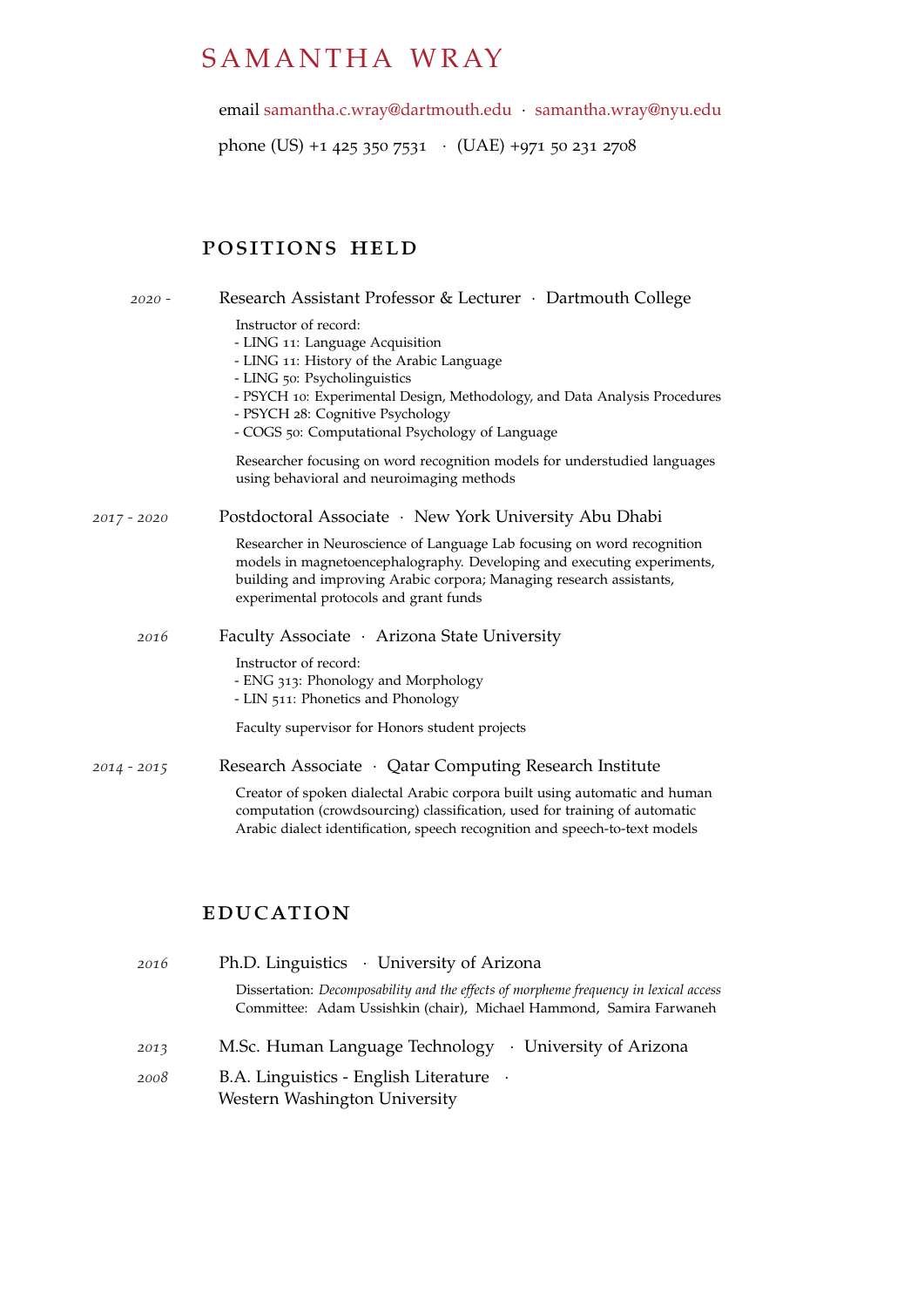# SAMANTHA WRAY

email [samantha.c.wray@dartmouth.edu](mailto:samantha.c.wray@dartmouth.edu) · [samantha.wray@nyu.edu](mailto:samantha.wray@nyu.edu)

phone (US) +1 425 350 7531 · (UAE) +971 50 231 2708

## positions held

| $2020 -$      | Research Assistant Professor & Lecturer · Dartmouth College                                                                                                                                                                                                                                                |
|---------------|------------------------------------------------------------------------------------------------------------------------------------------------------------------------------------------------------------------------------------------------------------------------------------------------------------|
|               | Instructor of record:<br>- LING 11: Language Acquisition<br>- LING 11: History of the Arabic Language<br>- LING 50: Psycholinguistics<br>- PSYCH 10: Experimental Design, Methodology, and Data Analysis Procedures<br>- PSYCH 28: Cognitive Psychology<br>- COGS 50: Computational Psychology of Language |
|               | Researcher focusing on word recognition models for understudied languages<br>using behavioral and neuroimaging methods                                                                                                                                                                                     |
| $2017 - 2020$ | Postdoctoral Associate · New York University Abu Dhabi                                                                                                                                                                                                                                                     |
|               | Researcher in Neuroscience of Language Lab focusing on word recognition<br>models in magnetoencephalography. Developing and executing experiments,<br>building and improving Arabic corpora; Managing research assistants,<br>experimental protocols and grant funds                                       |
| 2016          | Faculty Associate · Arizona State University                                                                                                                                                                                                                                                               |
|               | Instructor of record:<br>- ENG 313: Phonology and Morphology<br>- LIN 511: Phonetics and Phonology                                                                                                                                                                                                         |
|               | Faculty supervisor for Honors student projects                                                                                                                                                                                                                                                             |
| 2014 - 2015   | Research Associate · Qatar Computing Research Institute<br>Creator of spoken dialectal Arabic corpora built using automatic and human<br>computation (crowdsourcing) classification, used for training of automatic<br>Arabic dialect identification, speech recognition and speech-to-text models         |
|               |                                                                                                                                                                                                                                                                                                            |

#### **EDUCATION**

| 2016 | Ph.D. Linguistics · University of Arizona                                                                                                                           |
|------|---------------------------------------------------------------------------------------------------------------------------------------------------------------------|
|      | Dissertation: <i>Decomposability and the effects of morpheme frequency in lexical access</i><br>Committee: Adam Ussishkin (chair), Michael Hammond, Samira Farwaneh |
| 2013 | M.Sc. Human Language Technology · University of Arizona                                                                                                             |
| 2008 | B.A. Linguistics - English Literature .<br>Western Washington University                                                                                            |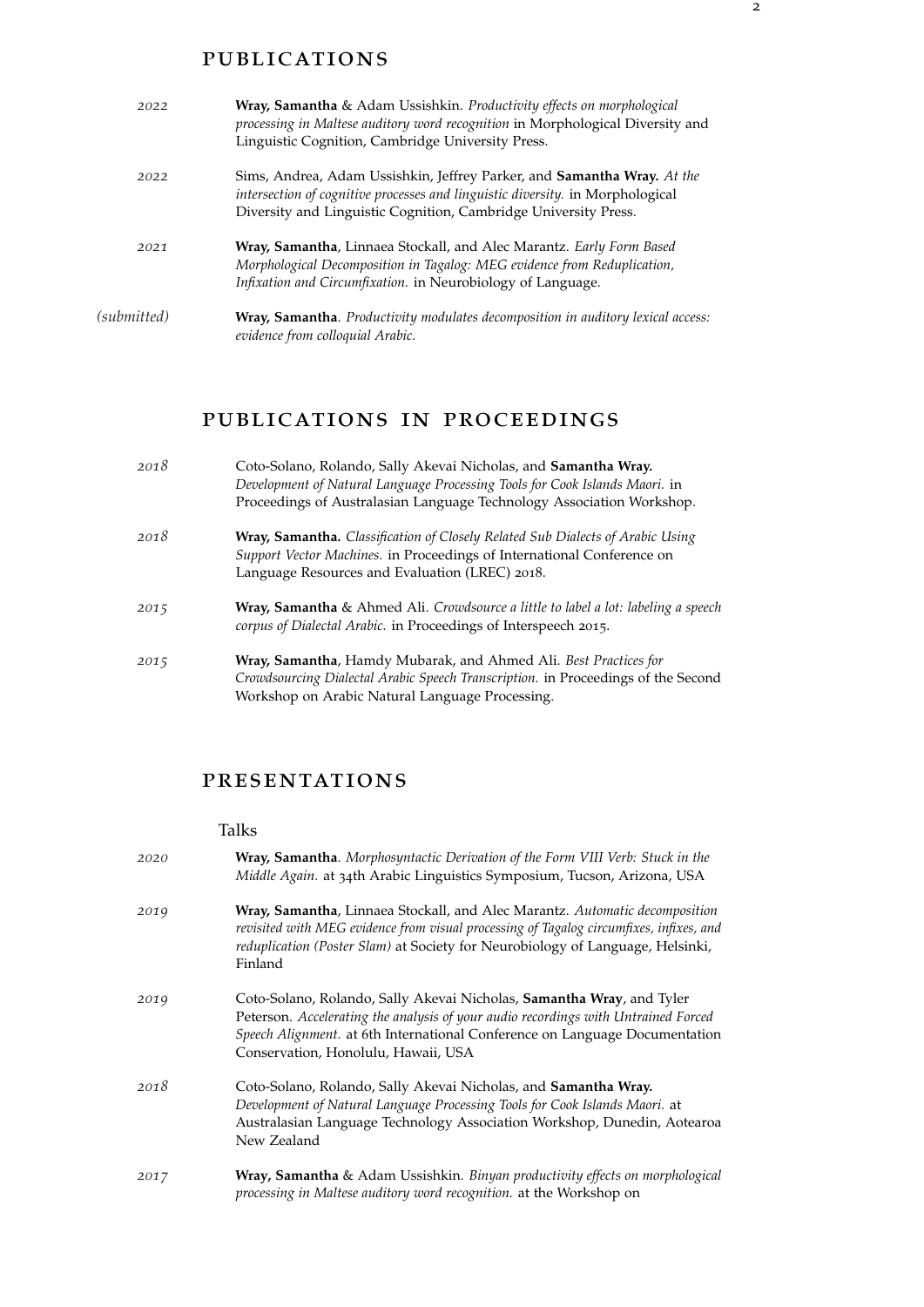#### publications

| 2022        | Wray, Samantha & Adam Ussishkin. Productivity effects on morphological<br>processing in Maltese auditory word recognition in Morphological Diversity and<br>Linguistic Cognition, Cambridge University Press.                       |
|-------------|-------------------------------------------------------------------------------------------------------------------------------------------------------------------------------------------------------------------------------------|
| 2022        | Sims, Andrea, Adam Ussishkin, Jeffrey Parker, and <b>Samantha Wray.</b> At the<br>intersection of cognitive processes and linguistic diversity. in Morphological<br>Diversity and Linguistic Cognition, Cambridge University Press. |
| 2021        | Wray, Samantha, Linnaea Stockall, and Alec Marantz. Early Form Based<br>Morphological Decomposition in Tagalog: MEG evidence from Reduplication,<br>Infixation and Circumfixation. in Neurobiology of Language.                     |
| (submitted) | Wray, Samantha. Productivity modulates decomposition in auditory lexical access:<br>evidence from colloquial Arabic.                                                                                                                |

### publications in proceedings

| 2018 | Coto-Solano, Rolando, Sally Akevai Nicholas, and Samantha Wray.<br>Development of Natural Language Processing Tools for Cook Islands Maori. in                                                             |
|------|------------------------------------------------------------------------------------------------------------------------------------------------------------------------------------------------------------|
|      | Proceedings of Australasian Language Technology Association Workshop.                                                                                                                                      |
| 2018 | Wray, Samantha. Classification of Closely Related Sub Dialects of Arabic Using<br>Support Vector Machines. in Proceedings of International Conference on<br>Language Resources and Evaluation (LREC) 2018. |
| 2015 | Wray, Samantha & Ahmed Ali. Crowdsource a little to label a lot: labeling a speech<br>corpus of Dialectal Arabic. in Proceedings of Interspeech 2015.                                                      |
| 2015 | Wray, Samantha, Hamdy Mubarak, and Ahmed Ali. Best Practices for<br>Crowdsourcing Dialectal Arabic Speech Transcription. in Proceedings of the Second<br>Workshop on Arabic Natural Language Processing.   |

#### presentations

#### Talks

| 2020 | Wray, Samantha. Morphosyntactic Derivation of the Form VIII Verb: Stuck in the<br>Middle Again. at 34th Arabic Linguistics Symposium, Tucson, Arizona, USA                                                                                                                        |
|------|-----------------------------------------------------------------------------------------------------------------------------------------------------------------------------------------------------------------------------------------------------------------------------------|
| 2019 | Wray, Samantha, Linnaea Stockall, and Alec Marantz. Automatic decomposition<br>revisited with MEG evidence from visual processing of Tagalog circumfixes, infixes, and<br>reduplication (Poster Slam) at Society for Neurobiology of Language, Helsinki,<br>Finland               |
| 2019 | Coto-Solano, Rolando, Sally Akevai Nicholas, Samantha Wray, and Tyler<br>Peterson. Accelerating the analysis of your audio recordings with Untrained Forced<br>Speech Alignment. at 6th International Conference on Language Documentation<br>Conservation, Honolulu, Hawaii, USA |
| 2018 | Coto-Solano, Rolando, Sally Akevai Nicholas, and Samantha Wray.<br>Development of Natural Language Processing Tools for Cook Islands Maori. at<br>Australasian Language Technology Association Workshop, Dunedin, Aotearoa<br>New Zealand                                         |
| 2017 | Wray, Samantha & Adam Ussishkin. Binyan productivity effects on morphological<br>processing in Maltese auditory word recognition. at the Workshop on                                                                                                                              |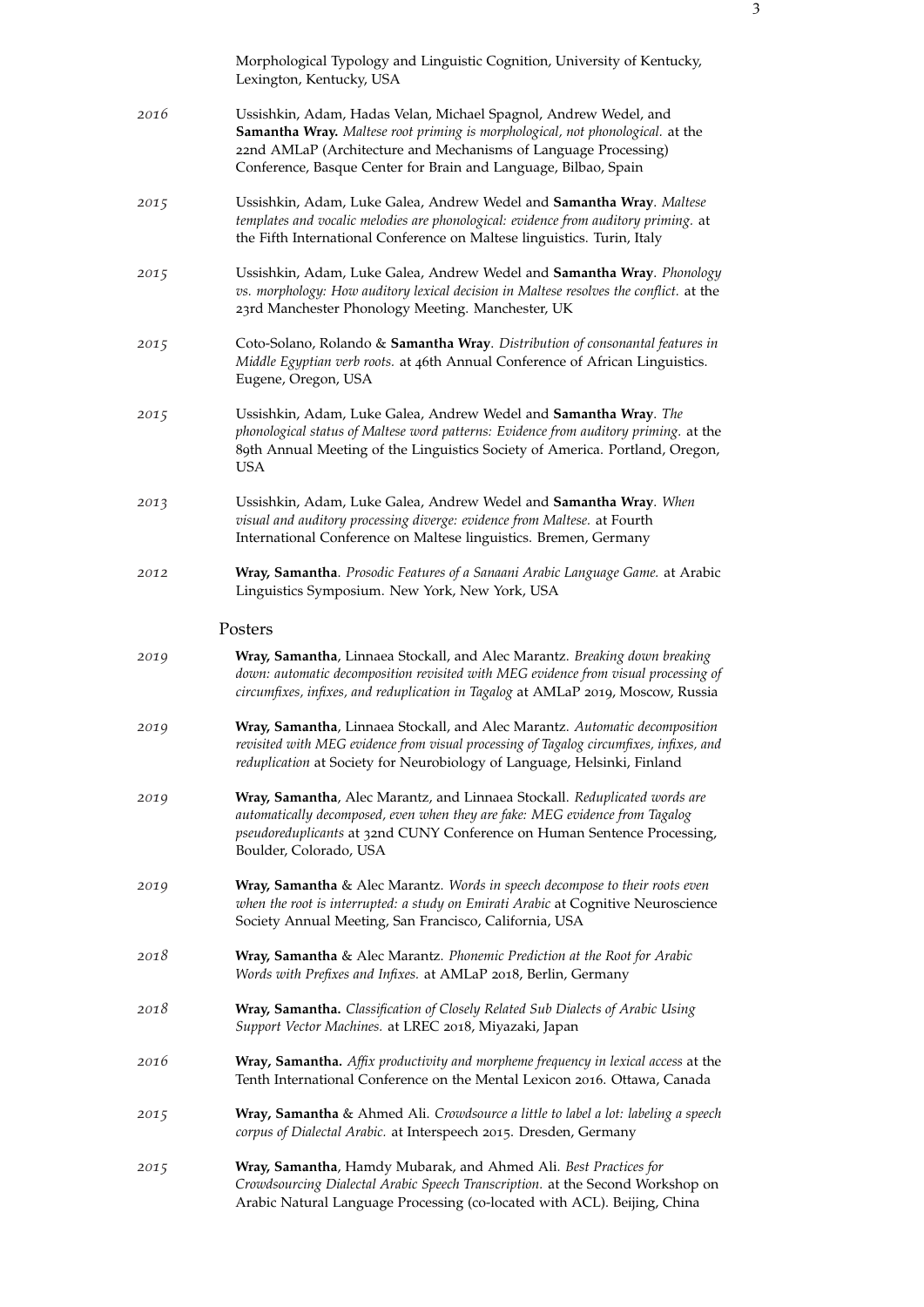|      | Morphological Typology and Linguistic Cognition, University of Kentucky,<br>Lexington, Kentucky, USA                                                                                                                                                                                     |
|------|------------------------------------------------------------------------------------------------------------------------------------------------------------------------------------------------------------------------------------------------------------------------------------------|
| 2016 | Ussishkin, Adam, Hadas Velan, Michael Spagnol, Andrew Wedel, and<br>Samantha Wray. Maltese root priming is morphological, not phonological. at the<br>22nd AMLaP (Architecture and Mechanisms of Language Processing)<br>Conference, Basque Center for Brain and Language, Bilbao, Spain |
| 2015 | Ussishkin, Adam, Luke Galea, Andrew Wedel and Samantha Wray. Maltese<br>templates and vocalic melodies are phonological: evidence from auditory priming. at<br>the Fifth International Conference on Maltese linguistics. Turin, Italy                                                   |
| 2015 | Ussishkin, Adam, Luke Galea, Andrew Wedel and Samantha Wray. Phonology<br>vs. morphology: How auditory lexical decision in Maltese resolves the conflict. at the<br>23rd Manchester Phonology Meeting. Manchester, UK                                                                    |
| 2015 | Coto-Solano, Rolando & Samantha Wray. Distribution of consonantal features in<br>Middle Egyptian verb roots. at 46th Annual Conference of African Linguistics.<br>Eugene, Oregon, USA                                                                                                    |
| 2015 | Ussishkin, Adam, Luke Galea, Andrew Wedel and Samantha Wray. The<br>phonological status of Maltese word patterns: Evidence from auditory priming. at the<br>89th Annual Meeting of the Linguistics Society of America. Portland, Oregon,<br><b>USA</b>                                   |
| 2013 | Ussishkin, Adam, Luke Galea, Andrew Wedel and Samantha Wray. When<br>visual and auditory processing diverge: evidence from Maltese. at Fourth<br>International Conference on Maltese linguistics. Bremen, Germany                                                                        |
| 2012 | Wray, Samantha. Prosodic Features of a Sanaani Arabic Language Game. at Arabic<br>Linguistics Symposium. New York, New York, USA                                                                                                                                                         |
|      | Posters                                                                                                                                                                                                                                                                                  |
| 2019 | Wray, Samantha, Linnaea Stockall, and Alec Marantz. Breaking down breaking<br>down: automatic decomposition revisited with MEG evidence from visual processing of<br>circumfixes, infixes, and reduplication in Tagalog at AMLaP 2019, Moscow, Russia                                    |
| 2019 | Wray, Samantha, Linnaea Stockall, and Alec Marantz. Automatic decomposition<br>revisited with MEG evidence from visual processing of Tagalog circumfixes, infixes, and<br>reduplication at Society for Neurobiology of Language, Helsinki, Finland                                       |
| 2019 | Wray, Samantha, Alec Marantz, and Linnaea Stockall. Reduplicated words are<br>automatically decomposed, even when they are fake: MEG evidence from Tagalog<br>pseudoreduplicants at 32nd CUNY Conference on Human Sentence Processing,<br>Boulder, Colorado, USA                         |
| 2019 | Wray, Samantha & Alec Marantz. Words in speech decompose to their roots even<br>when the root is interrupted: a study on Emirati Arabic at Cognitive Neuroscience<br>Society Annual Meeting, San Francisco, California, USA                                                              |
| 2018 | Wray, Samantha & Alec Marantz. Phonemic Prediction at the Root for Arabic<br>Words with Prefixes and Infixes. at AMLaP 2018, Berlin, Germany                                                                                                                                             |
| 2018 | Wray, Samantha. Classification of Closely Related Sub Dialects of Arabic Using<br>Support Vector Machines. at LREC 2018, Miyazaki, Japan                                                                                                                                                 |
| 2016 | Wray, Samantha. Affix productivity and morpheme frequency in lexical access at the<br>Tenth International Conference on the Mental Lexicon 2016. Ottawa, Canada                                                                                                                          |
| 2015 | Wray, Samantha & Ahmed Ali. Crowdsource a little to label a lot: labeling a speech<br>corpus of Dialectal Arabic. at Interspeech 2015. Dresden, Germany                                                                                                                                  |
| 2015 | Wray, Samantha, Hamdy Mubarak, and Ahmed Ali. Best Practices for<br>Crowdsourcing Dialectal Arabic Speech Transcription. at the Second Workshop on<br>Arabic Natural Language Processing (co-located with ACL). Beijing, China                                                           |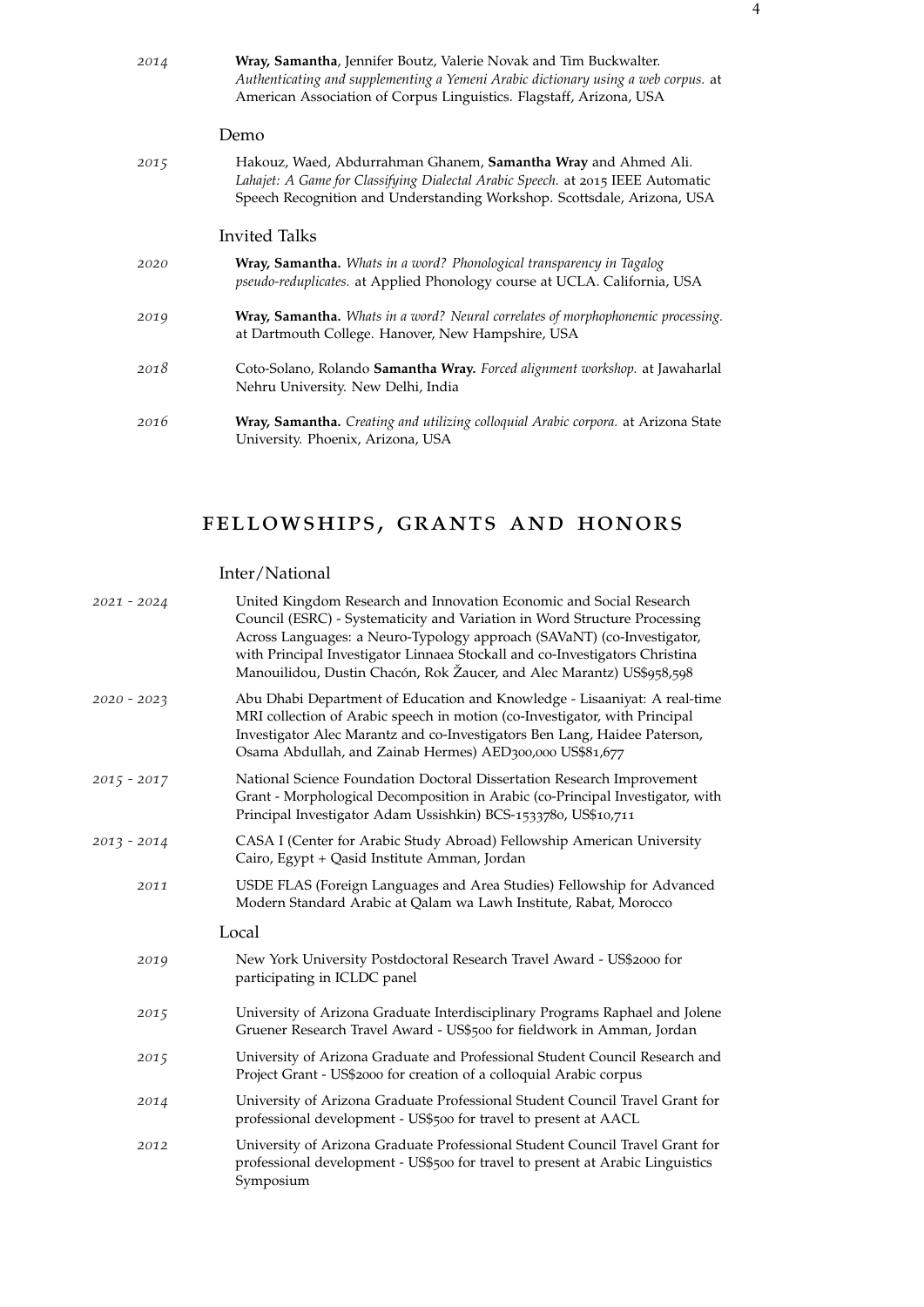| 2014 | Wray, Samantha, Jennifer Boutz, Valerie Novak and Tim Buckwalter.<br>Authenticating and supplementing a Yemeni Arabic dictionary using a web corpus. at<br>American Association of Corpus Linguistics. Flagstaff, Arizona, USA |
|------|--------------------------------------------------------------------------------------------------------------------------------------------------------------------------------------------------------------------------------|
|      | Demo                                                                                                                                                                                                                           |
| 2015 | Hakouz, Waed, Abdurrahman Ghanem, Samantha Wray and Ahmed Ali.<br>Lahajet: A Game for Classifying Dialectal Arabic Speech. at 2015 IEEE Automatic<br>Speech Recognition and Understanding Workshop. Scottsdale, Arizona, USA   |
|      | Invited Talks                                                                                                                                                                                                                  |
| 2020 | Wray, Samantha. Whats in a word? Phonological transparency in Tagalog<br>pseudo-reduplicates. at Applied Phonology course at UCLA. California, USA                                                                             |
| 2019 | Wray, Samantha. Whats in a word? Neural correlates of morphophonemic processing.<br>at Dartmouth College. Hanover, New Hampshire, USA                                                                                          |
| 2018 | Coto-Solano, Rolando Samantha Wray. Forced alignment workshop. at Jawaharlal<br>Nehru University. New Delhi, India                                                                                                             |
| 2016 | Wray, Samantha. Creating and utilizing colloquial Arabic corpora. at Arizona State<br>University. Phoenix, Arizona, USA                                                                                                        |

# fellowships, grants and honors

Inter/National

| $2021 - 2024$ | United Kingdom Research and Innovation Economic and Social Research<br>Council (ESRC) - Systematicity and Variation in Word Structure Processing<br>Across Languages: a Neuro-Typology approach (SAVaNT) (co-Investigator,<br>with Principal Investigator Linnaea Stockall and co-Investigators Christina<br>Manouilidou, Dustin Chacón, Rok Žaucer, and Alec Marantz) US\$958,598 |
|---------------|------------------------------------------------------------------------------------------------------------------------------------------------------------------------------------------------------------------------------------------------------------------------------------------------------------------------------------------------------------------------------------|
| $2020 - 2023$ | Abu Dhabi Department of Education and Knowledge - Lisaaniyat: A real-time<br>MRI collection of Arabic speech in motion (co-Investigator, with Principal<br>Investigator Alec Marantz and co-Investigators Ben Lang, Haidee Paterson,<br>Osama Abdullah, and Zainab Hermes) AED300,000 US\$81,677                                                                                   |
| $2015 - 2017$ | National Science Foundation Doctoral Dissertation Research Improvement<br>Grant - Morphological Decomposition in Arabic (co-Principal Investigator, with<br>Principal Investigator Adam Ussishkin) BCS-1533780, US\$10,711                                                                                                                                                         |
| $2013 - 2014$ | CASA I (Center for Arabic Study Abroad) Fellowship American University<br>Cairo, Egypt + Qasid Institute Amman, Jordan                                                                                                                                                                                                                                                             |
| 2011          | USDE FLAS (Foreign Languages and Area Studies) Fellowship for Advanced<br>Modern Standard Arabic at Qalam wa Lawh Institute, Rabat, Morocco                                                                                                                                                                                                                                        |
|               | Local                                                                                                                                                                                                                                                                                                                                                                              |
| 2019          | New York University Postdoctoral Research Travel Award - US\$2000 for<br>participating in ICLDC panel                                                                                                                                                                                                                                                                              |
| 2015          | University of Arizona Graduate Interdisciplinary Programs Raphael and Jolene<br>Gruener Research Travel Award - US\$500 for fieldwork in Amman, Jordan                                                                                                                                                                                                                             |
| 2015          | University of Arizona Graduate and Professional Student Council Research and<br>Project Grant - US\$2000 for creation of a colloquial Arabic corpus                                                                                                                                                                                                                                |
| 2014          | University of Arizona Graduate Professional Student Council Travel Grant for<br>professional development - US\$500 for travel to present at AACL                                                                                                                                                                                                                                   |
| 2012          | University of Arizona Graduate Professional Student Council Travel Grant for<br>professional development - US\$500 for travel to present at Arabic Linguistics<br>Symposium                                                                                                                                                                                                        |
|               |                                                                                                                                                                                                                                                                                                                                                                                    |